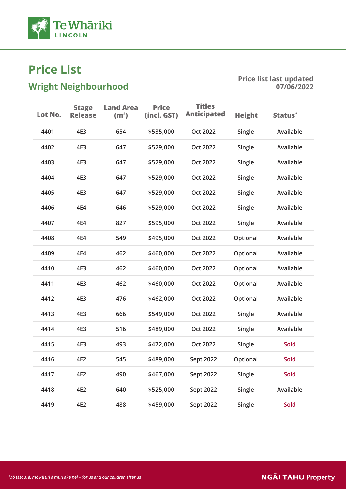

# $\frac{1}{2}$

| Available<br>4401<br>4E3<br>654<br>\$535,000<br><b>Oct 2022</b><br>Single<br>4402<br>4E3<br>647<br><b>Oct 2022</b><br>Single<br>Available<br>\$529,000<br>4403<br>4E3<br>647<br>\$529,000<br>Single<br>Available<br>Oct 2022<br>4404<br>4E3<br>647<br>Single<br>Available<br>\$529,000<br><b>Oct 2022</b><br>4405<br>647<br>Available<br>4E3<br><b>Oct 2022</b><br>Single<br>\$529,000<br>4406<br>Available<br>4E4<br>646<br>\$529,000<br>Oct 2022<br>Single<br>Available<br>4407<br>4E4<br>827<br><b>Oct 2022</b><br>Single<br>\$595,000<br>Available<br>4408<br>4E4<br>549<br>\$495,000<br><b>Oct 2022</b><br>Optional<br>4409<br>4E4<br>462<br>\$460,000<br>Optional<br>Available<br><b>Oct 2022</b><br>4410<br>4E3<br>462<br>\$460,000<br>Optional<br>Available<br><b>Oct 2022</b><br>4411<br>4E3<br>462<br>Available<br>\$460,000<br><b>Oct 2022</b><br>Optional<br>Available<br>4412<br>4E3<br>476<br>Oct 2022<br>Optional<br>\$462,000<br>Available<br>4413<br>666<br>4E3<br>\$549,000<br><b>Oct 2022</b><br>Single<br>4414<br>516<br>Available<br>4E3<br>\$489,000<br><b>Oct 2022</b><br>Single<br>4415<br>4E3<br>\$472,000<br>Oct 2022<br>Single<br>Sold<br>493<br>4416<br>4E2<br>545<br>\$489,000<br>Sept 2022<br>Optional<br>Sold<br>Sold<br>4417<br>4E2<br>490<br>\$467,000<br>Single<br>Sept 2022<br>4418<br>4E2<br>640<br>\$525,000<br>Single<br>Available<br>Sept 2022<br>4419<br>4E2<br>488<br>\$459,000<br>Sept 2022<br>Single<br>Sold | Lot No. | <b>Stage</b><br><b>Release</b> | <b>Land Area</b><br>(m <sup>2</sup> ) | <b>Price</b><br>(incl. GST) | <b>Titles</b><br><b>Anticipated</b> | <b>Height</b> | Status <sup>*</sup> |
|---------------------------------------------------------------------------------------------------------------------------------------------------------------------------------------------------------------------------------------------------------------------------------------------------------------------------------------------------------------------------------------------------------------------------------------------------------------------------------------------------------------------------------------------------------------------------------------------------------------------------------------------------------------------------------------------------------------------------------------------------------------------------------------------------------------------------------------------------------------------------------------------------------------------------------------------------------------------------------------------------------------------------------------------------------------------------------------------------------------------------------------------------------------------------------------------------------------------------------------------------------------------------------------------------------------------------------------------------------------------------------------------------------------------------------------------------------|---------|--------------------------------|---------------------------------------|-----------------------------|-------------------------------------|---------------|---------------------|
|                                                                                                                                                                                                                                                                                                                                                                                                                                                                                                                                                                                                                                                                                                                                                                                                                                                                                                                                                                                                                                                                                                                                                                                                                                                                                                                                                                                                                                                         |         |                                |                                       |                             |                                     |               |                     |
|                                                                                                                                                                                                                                                                                                                                                                                                                                                                                                                                                                                                                                                                                                                                                                                                                                                                                                                                                                                                                                                                                                                                                                                                                                                                                                                                                                                                                                                         |         |                                |                                       |                             |                                     |               |                     |
|                                                                                                                                                                                                                                                                                                                                                                                                                                                                                                                                                                                                                                                                                                                                                                                                                                                                                                                                                                                                                                                                                                                                                                                                                                                                                                                                                                                                                                                         |         |                                |                                       |                             |                                     |               |                     |
|                                                                                                                                                                                                                                                                                                                                                                                                                                                                                                                                                                                                                                                                                                                                                                                                                                                                                                                                                                                                                                                                                                                                                                                                                                                                                                                                                                                                                                                         |         |                                |                                       |                             |                                     |               |                     |
|                                                                                                                                                                                                                                                                                                                                                                                                                                                                                                                                                                                                                                                                                                                                                                                                                                                                                                                                                                                                                                                                                                                                                                                                                                                                                                                                                                                                                                                         |         |                                |                                       |                             |                                     |               |                     |
|                                                                                                                                                                                                                                                                                                                                                                                                                                                                                                                                                                                                                                                                                                                                                                                                                                                                                                                                                                                                                                                                                                                                                                                                                                                                                                                                                                                                                                                         |         |                                |                                       |                             |                                     |               |                     |
|                                                                                                                                                                                                                                                                                                                                                                                                                                                                                                                                                                                                                                                                                                                                                                                                                                                                                                                                                                                                                                                                                                                                                                                                                                                                                                                                                                                                                                                         |         |                                |                                       |                             |                                     |               |                     |
|                                                                                                                                                                                                                                                                                                                                                                                                                                                                                                                                                                                                                                                                                                                                                                                                                                                                                                                                                                                                                                                                                                                                                                                                                                                                                                                                                                                                                                                         |         |                                |                                       |                             |                                     |               |                     |
|                                                                                                                                                                                                                                                                                                                                                                                                                                                                                                                                                                                                                                                                                                                                                                                                                                                                                                                                                                                                                                                                                                                                                                                                                                                                                                                                                                                                                                                         |         |                                |                                       |                             |                                     |               |                     |
|                                                                                                                                                                                                                                                                                                                                                                                                                                                                                                                                                                                                                                                                                                                                                                                                                                                                                                                                                                                                                                                                                                                                                                                                                                                                                                                                                                                                                                                         |         |                                |                                       |                             |                                     |               |                     |
|                                                                                                                                                                                                                                                                                                                                                                                                                                                                                                                                                                                                                                                                                                                                                                                                                                                                                                                                                                                                                                                                                                                                                                                                                                                                                                                                                                                                                                                         |         |                                |                                       |                             |                                     |               |                     |
|                                                                                                                                                                                                                                                                                                                                                                                                                                                                                                                                                                                                                                                                                                                                                                                                                                                                                                                                                                                                                                                                                                                                                                                                                                                                                                                                                                                                                                                         |         |                                |                                       |                             |                                     |               |                     |
|                                                                                                                                                                                                                                                                                                                                                                                                                                                                                                                                                                                                                                                                                                                                                                                                                                                                                                                                                                                                                                                                                                                                                                                                                                                                                                                                                                                                                                                         |         |                                |                                       |                             |                                     |               |                     |
|                                                                                                                                                                                                                                                                                                                                                                                                                                                                                                                                                                                                                                                                                                                                                                                                                                                                                                                                                                                                                                                                                                                                                                                                                                                                                                                                                                                                                                                         |         |                                |                                       |                             |                                     |               |                     |
|                                                                                                                                                                                                                                                                                                                                                                                                                                                                                                                                                                                                                                                                                                                                                                                                                                                                                                                                                                                                                                                                                                                                                                                                                                                                                                                                                                                                                                                         |         |                                |                                       |                             |                                     |               |                     |
|                                                                                                                                                                                                                                                                                                                                                                                                                                                                                                                                                                                                                                                                                                                                                                                                                                                                                                                                                                                                                                                                                                                                                                                                                                                                                                                                                                                                                                                         |         |                                |                                       |                             |                                     |               |                     |
|                                                                                                                                                                                                                                                                                                                                                                                                                                                                                                                                                                                                                                                                                                                                                                                                                                                                                                                                                                                                                                                                                                                                                                                                                                                                                                                                                                                                                                                         |         |                                |                                       |                             |                                     |               |                     |
|                                                                                                                                                                                                                                                                                                                                                                                                                                                                                                                                                                                                                                                                                                                                                                                                                                                                                                                                                                                                                                                                                                                                                                                                                                                                                                                                                                                                                                                         |         |                                |                                       |                             |                                     |               |                     |
|                                                                                                                                                                                                                                                                                                                                                                                                                                                                                                                                                                                                                                                                                                                                                                                                                                                                                                                                                                                                                                                                                                                                                                                                                                                                                                                                                                                                                                                         |         |                                |                                       |                             |                                     |               |                     |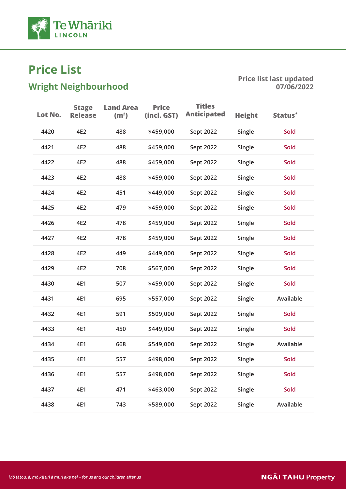

# $\frac{1}{2}$

| Lot No. | <b>Stage</b><br><b>Release</b> | <b>Land Area</b><br>(m <sup>2</sup> ) | <b>Price</b><br>(incl. GST) | <b>Titles</b><br><b>Anticipated</b> | <b>Height</b> | Status*   |
|---------|--------------------------------|---------------------------------------|-----------------------------|-------------------------------------|---------------|-----------|
| 4420    | 4E2                            | 488                                   | \$459,000                   | Sept 2022                           | Single        | Sold      |
| 4421    | 4E2                            | 488                                   | \$459,000                   | Sept 2022                           | Single        | Sold      |
| 4422    | 4E2                            | 488                                   | \$459,000                   | Sept 2022                           | Single        | Sold      |
| 4423    | 4E2                            | 488                                   | \$459,000                   | Sept 2022                           | Single        | Sold      |
| 4424    | 4E2                            | 451                                   | \$449,000                   | Sept 2022                           | Single        | Sold      |
| 4425    | 4E2                            | 479                                   | \$459,000                   | Sept 2022                           | Single        | Sold      |
| 4426    | 4E2                            | 478                                   | \$459,000                   | Sept 2022                           | Single        | Sold      |
| 4427    | 4E2                            | 478                                   | \$459,000                   | Sept 2022                           | Single        | Sold      |
| 4428    | 4E2                            | 449                                   | \$449,000                   | Sept 2022                           | Single        | Sold      |
| 4429    | 4E2                            | 708                                   | \$567,000                   | Sept 2022                           | Single        | Sold      |
| 4430    | 4E1                            | 507                                   | \$459,000                   | Sept 2022                           | Single        | Sold      |
| 4431    | 4E1                            | 695                                   | \$557,000                   | Sept 2022                           | Single        | Available |
| 4432    | 4E1                            | 591                                   | \$509,000                   | Sept 2022                           | Single        | Sold      |
| 4433    | 4E1                            | 450                                   | \$449,000                   | Sept 2022                           | Single        | Sold      |
| 4434    | 4E1                            | 668                                   | \$549,000                   | Sept 2022                           | Single        | Available |
| 4435    | 4E1                            | 557                                   | \$498,000                   | Sept 2022                           | Single        | Sold      |
| 4436    | 4E1                            | 557                                   | \$498,000                   | Sept 2022                           | Single        | Sold      |
| 4437    | 4E1                            | 471                                   | \$463,000                   | Sept 2022                           | Single        | Sold      |
| 4438    | 4E1                            | 743                                   | \$589,000                   | Sept 2022                           | Single        | Available |
|         |                                |                                       |                             |                                     |               |           |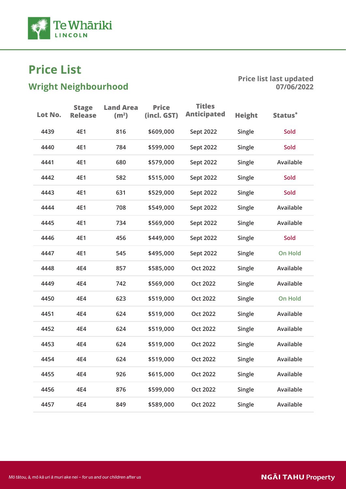

# $\frac{1}{2}$

| Lot No. | <b>Stage</b><br><b>Release</b> | <b>Land Area</b><br>(m <sup>2</sup> ) | <b>Price</b><br>(incl. GST) | <b>Titles</b><br><b>Anticipated</b> | <b>Height</b> | Status <sup>*</sup> |
|---------|--------------------------------|---------------------------------------|-----------------------------|-------------------------------------|---------------|---------------------|
| 4439    | 4E1                            | 816                                   | \$609,000                   | Sept 2022                           | Single        | Sold                |
| 4440    | 4E1                            | 784                                   | \$599,000                   | Sept 2022                           | Single        | Sold                |
| 4441    | 4E1                            | 680                                   | \$579,000                   | Sept 2022                           | Single        | Available           |
| 4442    | 4E1                            | 582                                   | \$515,000                   | Sept 2022                           | Single        | Sold                |
| 4443    | 4E1                            | 631                                   | \$529,000                   | Sept 2022                           | Single        | Sold                |
| 4444    | 4E1                            | 708                                   | \$549,000                   | Sept 2022                           | Single        | Available           |
| 4445    | 4E1                            | 734                                   | \$569,000                   | Sept 2022                           | Single        | Available           |
| 4446    | 4E1                            | 456                                   | \$449,000                   | Sept 2022                           | Single        | <b>Sold</b>         |
| 4447    | 4E1                            | 545                                   | \$495,000                   | Sept 2022                           | Single        | <b>On Hold</b>      |
| 4448    | 4E4                            | 857                                   | \$585,000                   | <b>Oct 2022</b>                     | Single        | Available           |
| 4449    | 4E4                            | 742                                   | \$569,000                   | <b>Oct 2022</b>                     | Single        | Available           |
| 4450    | 4E4                            | 623                                   | \$519,000                   | <b>Oct 2022</b>                     | Single        | <b>On Hold</b>      |
| 4451    | 4E4                            | 624                                   | \$519,000                   | <b>Oct 2022</b>                     | Single        | Available           |
| 4452    | 4E4                            | 624                                   | \$519,000                   | <b>Oct 2022</b>                     | Single        | Available           |
| 4453    | 4E4                            | 624                                   | \$519,000                   | Oct 2022                            | Single        | Available           |
| 4454    | 4E4                            | 624                                   | \$519,000                   | <b>Oct 2022</b>                     | Single        | Available           |
| 4455    | 4E4                            | 926                                   | \$615,000                   | <b>Oct 2022</b>                     | Single        | Available           |
| 4456    | 4E4                            | 876                                   | \$599,000                   | <b>Oct 2022</b>                     | Single        | Available           |
| 4457    | 4E4                            | 849                                   | \$589,000                   | <b>Oct 2022</b>                     | Single        | Available           |
|         |                                |                                       |                             |                                     |               |                     |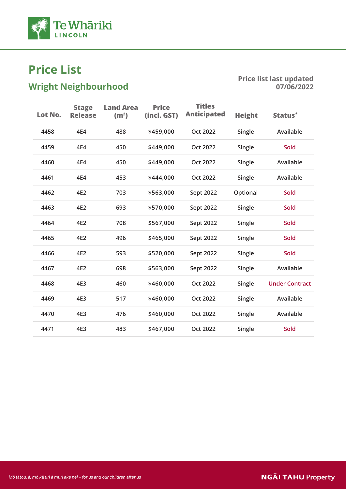

# $\frac{1}{2}$

| Lot No. | <b>Stage</b><br><b>Release</b> | <b>Land Area</b><br>(m <sup>2</sup> ) | <b>Price</b><br>(incl. GST) | <b>Titles</b><br><b>Anticipated</b> | <b>Height</b> | Status <sup>*</sup>   |
|---------|--------------------------------|---------------------------------------|-----------------------------|-------------------------------------|---------------|-----------------------|
| 4458    | 4E4                            | 488                                   | \$459,000                   | <b>Oct 2022</b>                     | Single        | Available             |
| 4459    | 4E4                            | 450                                   | \$449,000                   | <b>Oct 2022</b>                     | Single        | <b>Sold</b>           |
| 4460    | 4E4                            | 450                                   | \$449,000                   | <b>Oct 2022</b>                     | Single        | Available             |
| 4461    | 4E4                            | 453                                   | \$444,000                   | <b>Oct 2022</b>                     | Single        | Available             |
| 4462    | 4E2                            | 703                                   | \$563,000                   | Sept 2022                           | Optional      | <b>Sold</b>           |
| 4463    | 4E2                            | 693                                   | \$570,000                   | Sept 2022                           | Single        | <b>Sold</b>           |
| 4464    | 4E2                            | 708                                   | \$567,000                   | Sept 2022                           | Single        | <b>Sold</b>           |
| 4465    | 4E2                            | 496                                   | \$465,000                   | Sept 2022                           | Single        | <b>Sold</b>           |
| 4466    | 4E2                            | 593                                   | \$520,000                   | Sept 2022                           | Single        | Sold                  |
| 4467    | 4E2                            | 698                                   | \$563,000                   | Sept 2022                           | Single        | Available             |
| 4468    | 4E3                            | 460                                   | \$460,000                   | <b>Oct 2022</b>                     | Single        | <b>Under Contract</b> |
| 4469    | 4E3                            | 517                                   | \$460,000                   | <b>Oct 2022</b>                     | Single        | Available             |
| 4470    | 4E3                            | 476                                   | \$460,000                   | <b>Oct 2022</b>                     | Single        | Available             |
| 4471    | 4E3                            | 483                                   | \$467,000                   | <b>Oct 2022</b>                     | Single        | Sold                  |